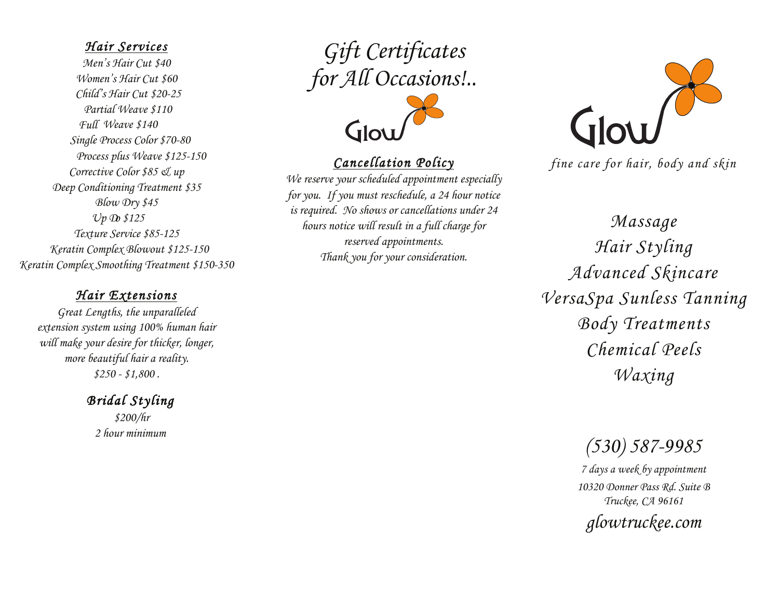#### *Hair Services Hair Services*

*S Mur* Cut  $\phi$ <sup>40</sup> *Whis Stair Cut \$600*<br>*Women's State Associ Child's Hair Cut \$12-25 Child's Hair Cut \$20-25 Partial Weave \$85-115 Partial Weave \$110 Full Weave \$115-145 Full Weave \$140 Single Process Color \$60-75 Single Process Color \$70-80 Single Process plus Weave \$125-150 Process plus Weave \$125-150 Corrective Color \$85 & up Corrective Color \$85 & up Deep Conditioning Treatment \$35 Deep Conditioning Treatment \$35 Blow Dry \$35 Blow Dry \$45 Up Do \$85-125 Up Do \$125 Texture Service \$85-125 Texture Service \$85-125 Keratin Complex Blowout \$99-125 Keratin Complex Blowout \$125-150 Keratin Complex Smoothing Treatment \$150-350 Keratin Complex Smoothing Treatment \$150-350 Men's Hair Cut \$40 Women's Hair Cut \$60*

# *Hair Extensions Hair Extensions*

*Great Lengths, the unparalleled Great Lengths, the unparalleled extension system using 100% human hair extension system using 100% human hair will make your desire for thicker, longer, will make your desire for thicker, longer, more beautiful hair a reality. \$250 - \$1,800 . more beautiful hair a reality. \$250 - \$1,800 .* 

> *Bridal Styling Bridal Styling Bridal hair styling \$200 \$200/hr Additional Bridesmaids \$85-150 2 hour minimum Bridge Britanian*

*Gift Certificates Gift Certificates for All Occasions!.. for All Occasions!..* 



# *Cancellation Policy Cancellation Policy*

*We reserve your scheduled appointment especially We reserve your scheduled appointment especially for you. If you must reschedule, a 24 hour notice for you. If you must reschedule, a 24 hour notice is required. No shows or cancellations under 24 is required. No shows or cancellations under 24 hours notice will result in a full charge for hours notice will result in a full charge for reserved appointments. reserved appointments. Thank you for your consideration. Thank you for your consideration.* 



*fine care for hair, body and skin fine care for hair, body and skin*

*Massage Massage Hair Styling Hair Styling Advanced Skincare Advanced Skincare VersaSpa Sunless Tanning VersaSpa Sunless Tanning Body Treatments Body Treatments Chemical Peels Chemical Peels Waxing Waxing* 

*(530) 587-9985*

*7 days a week by appointment (530) 587-9985* 10320 Donner Pass Rd. Suite B *Truckee, CA 96161 10320 Donner Pass Rd. Suite B*

*glowtruckee.com Truckee, CA 96161 g*